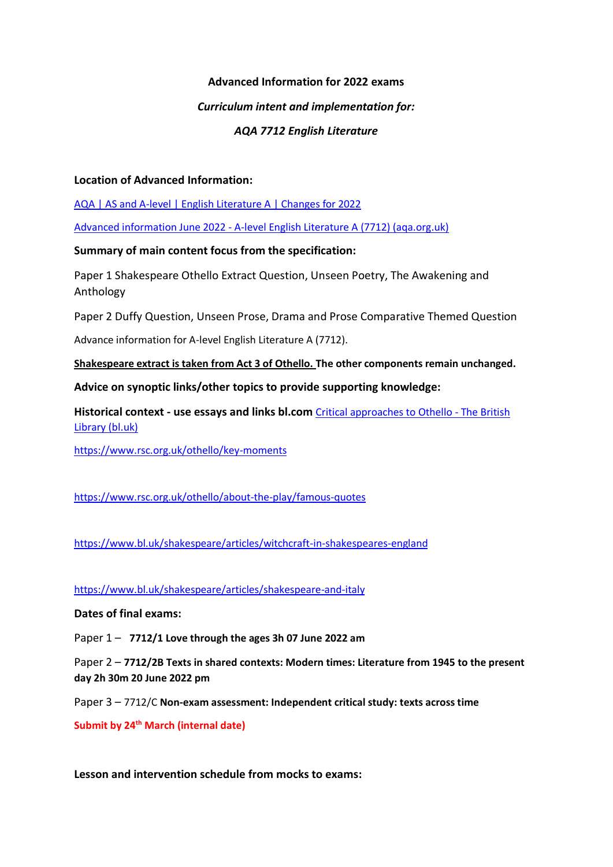## **Advanced Information for 2022 exams**

## *Curriculum intent and implementation for:*

# *AQA 7712 English Literature*

## **Location of Advanced Information:**

[AQA | AS and A-level | English Literature A | Changes for 2022](https://www.aqa.org.uk/subjects/english/as-and-a-level/english-literature-a-7711-7712/changes-for-2022)

Advanced information June 2022 - [A-level English Literature A \(7712\) \(aqa.org.uk\)](https://filestore.aqa.org.uk/content/summer-2022/AQA-7712-AI-22.PDF)

# **Summary of main content focus from the specification:**

Paper 1 Shakespeare Othello Extract Question, Unseen Poetry, The Awakening and Anthology

Paper 2 Duffy Question, Unseen Prose, Drama and Prose Comparative Themed Question

Advance information for A-level English Literature A (7712).

**Shakespeare extract is taken from Act 3 of Othello. The other components remain unchanged.**

# **Advice on synoptic links/other topics to provide supporting knowledge:**

**Historical context - use essays and links bl.com** [Critical approaches to Othello -](https://www.bl.uk/shakespeare/articles/critical-approaches-to-othello) The British [Library \(bl.uk\)](https://www.bl.uk/shakespeare/articles/critical-approaches-to-othello)

<https://www.rsc.org.uk/othello/key-moments>

<https://www.rsc.org.uk/othello/about-the-play/famous-quotes>

<https://www.bl.uk/shakespeare/articles/witchcraft-in-shakespeares-england>

<https://www.bl.uk/shakespeare/articles/shakespeare-and-italy>

**Dates of final exams:**

Paper 1 – **7712/1 Love through the ages 3h 07 June 2022 am**

Paper 2 – **7712/2B Texts in shared contexts: Modern times: Literature from 1945 to the present day 2h 30m 20 June 2022 pm**

Paper 3 – 7712/C **Non-exam assessment: Independent critical study: texts across time** 

**Submit by 24th March (internal date)**

**Lesson and intervention schedule from mocks to exams:**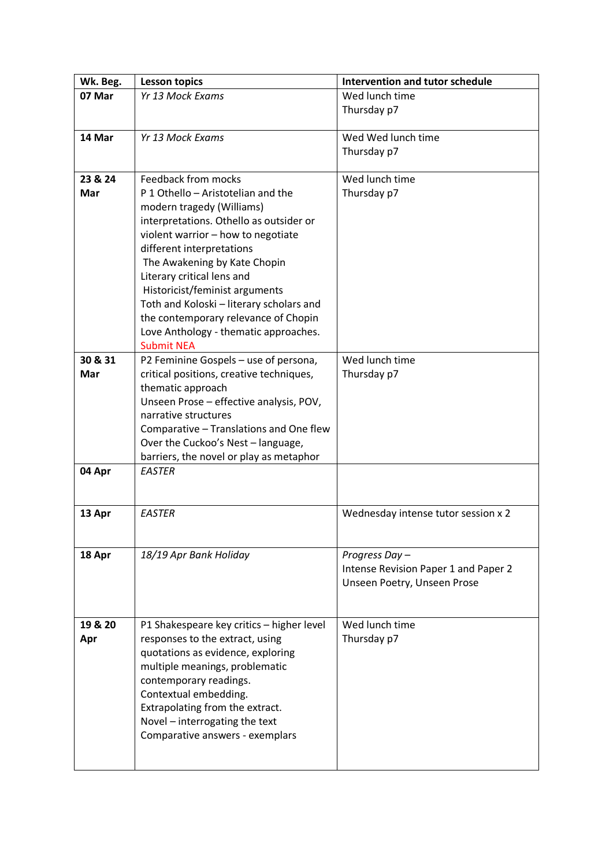| Wk. Beg.       | <b>Lesson topics</b>                                      | Intervention and tutor schedule      |
|----------------|-----------------------------------------------------------|--------------------------------------|
| 07 Mar         | Yr 13 Mock Exams                                          | Wed lunch time                       |
|                |                                                           | Thursday p7                          |
|                |                                                           |                                      |
| 14 Mar         | Yr 13 Mock Exams                                          | Wed Wed lunch time                   |
|                |                                                           | Thursday p7                          |
|                |                                                           |                                      |
| 23 & 24<br>Mar | Feedback from mocks<br>P 1 Othello - Aristotelian and the | Wed lunch time<br>Thursday p7        |
|                | modern tragedy (Williams)                                 |                                      |
|                | interpretations. Othello as outsider or                   |                                      |
|                | violent warrior - how to negotiate                        |                                      |
|                | different interpretations                                 |                                      |
|                | The Awakening by Kate Chopin                              |                                      |
|                | Literary critical lens and                                |                                      |
|                | Historicist/feminist arguments                            |                                      |
|                | Toth and Koloski - literary scholars and                  |                                      |
|                | the contemporary relevance of Chopin                      |                                      |
|                | Love Anthology - thematic approaches.                     |                                      |
|                | <b>Submit NEA</b>                                         |                                      |
| 30 & 31        | P2 Feminine Gospels - use of persona,                     | Wed lunch time                       |
| Mar            | critical positions, creative techniques,                  | Thursday p7                          |
|                | thematic approach                                         |                                      |
|                | Unseen Prose - effective analysis, POV,                   |                                      |
|                | narrative structures                                      |                                      |
|                | Comparative - Translations and One flew                   |                                      |
|                | Over the Cuckoo's Nest - language,                        |                                      |
|                | barriers, the novel or play as metaphor                   |                                      |
| 04 Apr         | <b>EASTER</b>                                             |                                      |
|                |                                                           |                                      |
| 13 Apr         | <b>EASTER</b>                                             | Wednesday intense tutor session x 2  |
|                |                                                           |                                      |
|                |                                                           |                                      |
| 18 Apr         | 18/19 Apr Bank Holiday                                    | Progress Day-                        |
|                |                                                           | Intense Revision Paper 1 and Paper 2 |
|                |                                                           | Unseen Poetry, Unseen Prose          |
|                |                                                           |                                      |
|                |                                                           |                                      |
| 19 & 20        | P1 Shakespeare key critics - higher level                 | Wed lunch time                       |
| Apr            | responses to the extract, using                           | Thursday p7                          |
|                | quotations as evidence, exploring                         |                                      |
|                | multiple meanings, problematic                            |                                      |
|                | contemporary readings.                                    |                                      |
|                | Contextual embedding.                                     |                                      |
|                | Extrapolating from the extract.                           |                                      |
|                | Novel - interrogating the text                            |                                      |
|                | Comparative answers - exemplars                           |                                      |
|                |                                                           |                                      |